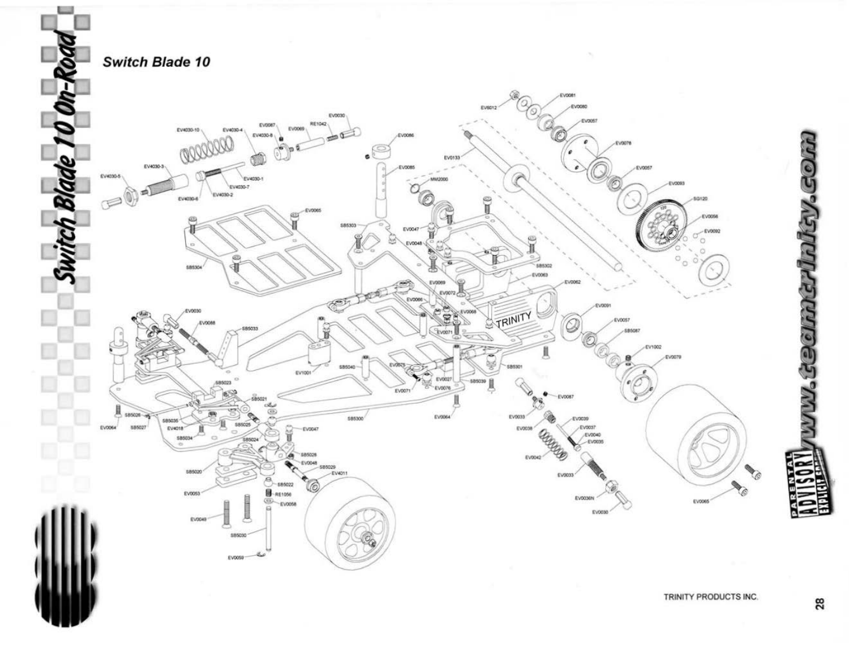